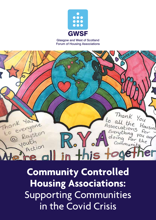

Glasgow and West of Scotland Forum of Housing Associations



**Community Controlled Housing Associations:**  Supporting Communities in the Covid Crisis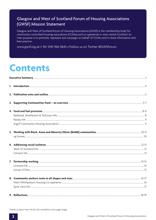#### Glasgow and West of Scotland Forum of Housing Associations (GWSF) Mission Statement

Glasgow and West of Scotland Forum of Housing Associations (GWSF) is the membership body for community-controlled housing associations (CCHAs) and co-operatives in west central Scotland. Its main purpose is to promote, represent and campaign on behalf of CCHAs and to share information and best practice.

www.gwsf.org.uk • Tel: 0141 946 0645 • Follow us on Twitter @GWSForum

### **Contents**

Thanks to Spire View HA for the wonderful cover page image.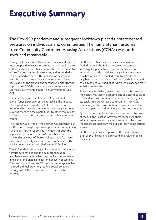### **Executive Summary**

The Covid-19 pandemic and subsequent lockdown placed unprecedented pressures on individuals and communities. The humanitarian response from Community Controlled Housing Associations (CCHAs) was both swift and remarkable.

Throughout the crisis CCHAs worked tirelessly, alongside local people, third sector organisations, and public sector colleagues to support their communities. These collective efforts focused on frontline services, and responded to crucial immediate needs. This publication has two key aims. Firstly, to capture the vital contribution CCHAs have made on the ground; and secondly, to highlight the importance of CCHAs' community anchor role via the Scottish Government's Supporting Communities Fund (SCF).

The Scottish Government directed £35million of its overall funding package, aimed at tackling the impacts of the pandemic, towards the SCF. The key aim was to route funding through community anchor organisations, allowing them to disseminate funds to other community bodies and groups responding to the challenges on the ground.

The Forum was invited by the Scottish Government to sit on the Fund oversight/approvals group as an Intermediary Funding Partner, to support our members through the application process. Thirty GWSF members received SCF funding, sixteen of these in Glasgow and fourteen in other local authority areas in the west of Scotland. The total amount awarded equalled almost £2.7million.

The SCF funded a wide range of activities in communities throughout Scotland and the publication features members' case-studies which capture key themes around emergency and ongoing needs, and delivery of services. The case-studies illustrate CCHAs' innovative approaches to: food and fuel provision; tackling social isolation; working with BAME communities; and partnership working.

CCHAs, and other community anchor organisations funded through the SCF share core characteristics including: longevity; trust; reach; and a track record of responding quickly to deliver change. It is these same qualities which have enabled them to provide real, tangible support, in the midst of the Covid-19 crisis, and crucially to get SCF funding to where it was needed most in their communities.

As we move tentatively towards recovery it is clear that the health, well-being, economic and societal impacts of the pandemic will continue to resonate for a long time, especially in disadvantaged communities. Inevitably, community anchors will continue to play an important role in helping to build resilience in their communities.

By placing community anchor organisations at the heart of the SCF the Scottish Government recognised their value. As we move into recovery, we would like to see the lessons learned from the SCF approach being carried forward.

CCHAs' extraordinary response to the Covid crisis has emphasised like nothing else could, the value of being truly local.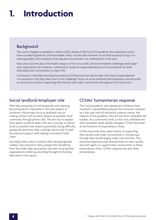## **1. Introduction**

#### Background

The world changed completely in March 2020. Ahead of the Covid-19 pandemic this statement would have sounded hyperbolic and improbable. Many months later however, as we find ourselves living in an unrecognisable, and constantly evolving new environment, we understand it to be true.

Fears and concerns about the health impacts of the virus itself, and the immediate challenges and longerterm implications of lockdown, combined to create an unprecedented set of circumstances for both individuals and communities to cope with.

Community Controlled Housing Associations (CCHAs) too have had to deal with these unprecedented circumstances. And they have risen to the challenge. Firstly, as social landlords and employers: and secondly as community anchors supporting their tenants and wider communities throughout the Covid crisis.

#### Social landlord/employer role

With the processing of void properties and reletting becoming all but impossible in the early phases of lockdown, the primary focus as landlords was on making contact with as many tenants as possible, most commonly through phone calls. The aim was to explain how repairs would be dealt with and, critically, to ensure as far as possible that tenants potentially facing difficulty paying the rent knew they could get advice and, if need be, practical support with making a Universal Credit claim.

Inevitably these calls to tenants often became general welfare calls and led to many people then benefiting from the wider help associations and their local partner organisations ended up providing through the funding described in this report.

#### CCHAs' humanitarian response

The Covid pandemic and subsequent lockdown have resulted in unparalleled pressures for everyone. However, as is the case with all disruptive systemic events, the impacts of the pandemic have hit the most vulnerable the hardest. At a community level, as the crisis unfolded new and immediate needs rapidly emerged, CCHAs have been at the forefront of responding to these.

CCHAs have over forty-years history of supporting their tenants and wider communities in myriad ways through their broad ranging wider role activities. This extensive experience has allowed them to react quickly and with agility to support their communities. In these extraordinary times, CCHAs' response has also been extraordinary.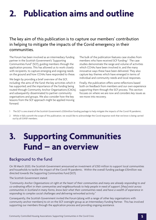## **2. Publication aims and outline**

#### The key aim of this publication is to capture our members' contribution in helping to mitigate the impacts of the Covid emergency in their communities.

The Forum has been involved as an intermediary funding partner in the Scottish Government's 'Supporting Communities Fund'1 (SCF), guiding members through the application process. This has allowed us to work closely with recipients, to capture emerging and ongoing needs on the ground and how CCHAs have responded to these.

We begin by providing a brief overview of the SCF, including: the aims of the fund; the key activities which it has supported; and the importance of the funding being routed through Community Anchor Organisations (CAOs), and subsequently disseminated to partner community organisations and groups. We also consider how the key lessons from the SCF approach might be applied moving forward.

The bulk of the publication features case studies from members who have received SCF funding.<sup>2</sup> The case studies demonstrate the range and volume of activities which CCHAs have been involved in, and the many innovative ways these have been delivered. They also capture key themes which have emerged in terms of individual and community needs and local responses.

Finally, the publication offers some reflections based both on feedback from members and our own experience supporting them through the SCF process. This section focuses on where we are now and considers key issues as we move into recovery.

- 1 The SCF is one strand of the Scottish Government's £350million funding package to help mitigate the impacts of the Covid-19 pandemic.
- 2 Whilst it falls outwith the scope of this publication, we would like to acknowledge the Covid response work that we know is being carried out by all GWSF members.

## **3. Supporting Communities Fund – an overview**

#### Background to the fund

On 18 March 2020, the Scottish Government announced an investment of £350 million to support local communities and households to tackle the impact of the Covid-19 pandemic. Within the overall funding package £35million was directed towards the Supporting Communities Fund (SCF).

#### The Scottish Government stated:

*"Community Anchor Organisations sit right at the heart of their communities and many are already responding to and co-ordinating effort in their communities and neighbourhoods to help people in need of support: [they] exist across communities in Scotland in many forms, know best what their communities need, and have a wealth of experience in responding to complex social challenges and delivering networked activity."*

Consequently, the Scottish Government invited the Forum (along with a range of other key organisations with community anchor members) to sit on the SCF oversight group as an Intermediary Funding Partner. This has involved supporting our members through the application process and providing ongoing assistance.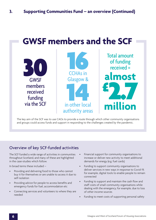### **GWSF members and the SCF**



The key aim of the SCF was to use CAOs to provide a route through which other community organisations and groups could access funds and support in responding to the challenges created by the pandemic.

### Overview of key SCF-funded activities

The SCF funded a wide range of activities in communities throughout Scotland, and many of these are highlighted in the case-studies which follow.

In broad terms these included –

- Providing and delivering food to those who cannot buy it for themselves or are unable to access it due to self-isolation
- Providing advice for people to access benefits and emergency funds for fuel, accommodation etc
- Connecting services and volunteers to where they are needed
- Financial support for community organisations to increase or deliver new activity to meet additional demands for energy (e.g. fuel cards)
- Funding to support community organisations to deliver services in new ways in response to Covid-19, for example, digital tools to enable people to remain connected
- Funding to support and maintain the cash flow and staff costs of small community organisations while dealing with the emergency, for example, due to loss of other income sources
- Funding to meet costs of supporting personal safety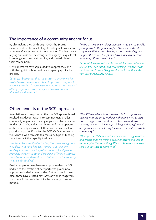#### The importance of a community anchor focus

By channelling the SCF through CAOs the Scottish Government has been able to get funding out quickly, and to where it's most needed in communities. This has meant relying on CAOs and believing in their agility, unique local knowledge, existing relationships, and trusted place in their communities.

GWSF members have applauded this approach, along with the light-touch, accessible and speedy application process.

*"It has just been great that the Scottish Government has trusted us as community anchors to get the money out to where it's needed. To recognise that we know partners and other groups in our community, and to trust us and that it's making a difference."*

*"In the circumstances, things needed to happen so quickly [in response to the pandemic] and because of the SCF they have. We've been able to pass on the funding and support the crucial things that have made a difference – food, fuel, all the other things."*

*"It has all been so fast, and I know it's because we're in a unique situation but it's really refreshing, it shows it can be done, and it would be great if it could continue like this. Less bureaucracy I guess."*

#### Other benefits of the SCF approach

Associations also emphasised that the SCF approach had resulted in a deeper reach into communities. Smaller community organisations and groups were able to access funding via CAOs, and although many of these operate at the extremely micro level, they have been crucial in providing support. If not for the SCF's CAO focus many would not have been able to access any type of funding since they lack the capacity to do so.

*"We know, because they've told us, that these wee groups would just not have had any way in, to getting any funding. In some cases, it's just a couple of local people providing the service but making a big difference. They just would never even think about, let alone have the capacity to, apply for funding."*

Finally, recipients were keen to emphasise that the SCF had led to the creation of new partnerships and new approaches in their communities. Furthermore, in many cases these have created new ways of working together, which would be carried on into the recovery phase and beyond.

*"The SCF award made us consider a holistic approach to dealing with the crisis, working with a range of partners from a range of sectors. And that has broken down barriers, and led to joined-up thinking and doing! And it's an approach we'll be taking forward to benefit our whole community."*

*"Through the SCF grant we're now aware of organisations and groups that we weren't aware of before and lots of us are saying the same thing. We now have a whole new range of partners to work with."*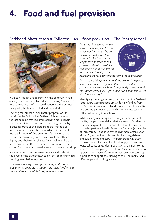# **4. Food and fuel provision**

#### Parkhead, Shettleston & Tollcross HAs – food provision – The Pantry Model



Plans to establish a food pantry in the community had already been drawn up by Parkhead Housing Association. With the outbreak of the Covid pandemic, the project was quickly both accelerated and expanded.

The original Parkhead Food Pantry proposal was to transform the Drill Hall at Parkhead Schoolhouse – the last building that required extensive fabric repair – into a subsidised community shop using the pantry model, regarded as the "gold standard" method of food provision. Under the plans, which differ from the foodbank model of free provision, families on a low income or recovering from a crisis would be offered dignity and choice in exchange for a small membership fee of around £2.50 to £3 a week. There was also the option for those not 'in need' to use it as a subsided shop.

But the project took on a new urgency and scale with the onset of the pandemic. A spokesperson for Parkhead Housing Association explains.

*"We were planning to set up the pantry in the local area prior to Covid-19, to support the many families and individuals unfortunately living in food poverty.*

*"A pantry shop where people in the community can become a member for a small fee and then access nutritious food on an ongoing basis is a better longer-term solution to food poverty, while also providing volunteering opportunities for local people. It really is the* 



*gold standard for a sustainable form of food provision.*

*"As a result of the pandemic and the economic impacts, it was clear that more people than ever would be in a position where they might be facing food poverty. Initially, the pantry seemed like a good idea, but it soon felt like an absolute necessity."*

Identifying that surge in need, plans to open the Parkhead Food Pantry were speeded up, while new funding from the Scottish Communities Fund was also used to establish two pop-up pantries in partnership with Shettleston and Tollcross Housing Associations.

While already operating successfully in other parts of the UK, the pantry model is relatively new to Scotland. In this case, surplus, fit-for-purpose food will be provided through a partnership with Fareshare Glasgow (a franchise of Fareshare UK, operated by the charitable organisation Move On) and will include fresh fruit and vegetables, and quality meat and dairy. The partnership will allow the Association to streamline food supply, demand and logistical constraints, identified as a vital element to the success of a food pantry operation. Unity Enterprise, who operate The Spoon café ventures, will use their catering expertise to support the running of the 'The Pantry' and offer recipe and cooking advice.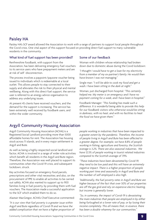#### Paisley HA

Paisley HA's SCF award allowed the Association to work with a range of partners to support local people throughout the Covid crisis. One vital aspect of this support focused on providing direct fuel support to many vulnerable residents in the community.

#### What kind of fuel support has been provided?

Renfrewshire foodbank, with support from the Association, has been delivering emergency fuel vouchers to its service users who have prepayment meters and are at risk of self -disconnection.

The process involves a paypoint/payzone voucher being issued to individuals which is redeemable at a local outlet. This allows people to stay connected to their supply and alleviates the risk to their physical and mental wellbeing. Along with this direct fuel support, the service user is referred to an energy advice organisation to address any underlying issues.

At present 45 clients have received vouchers, and the demand for the support is increasing. The service has been extremely well received by foodbank users, and within the wider community.

#### Some of our feedback

Woman with children whose relationship had broken down due to domestic abuse during the Covid lockdown:

*"I thought I would have to get a loan for my electricity from a member of my ex-partner's family. He would then have known I was not managing."*

Single man: *"I will be able to cook my food and get a wash. I have been sitting in the dark at night."*

Woman, just discharged from hospital: *"This certainly helped me. My meter is on emergency and I have no payment coming for a week, and I have been in hospital."*

Foodbank Manager: *"This funding has made such a difference. It is wonderful being able to provide this help for our foodbank visitors who otherwise would be sitting in darkness, with no heat, and with no facilities to heat the food we have given them."*

#### Argyll Community Housing Association

Argyll Community Housing Association (ACHA) is a Registered Social Landlord providing more than 5000 affordable homes for rent. The Association has housing stock across 11 islands, and in every major settlement in Argyll and Bute.

As well as being a highly-respected social landlord and factor, ACHA is involved in a range of wider role activities which benefit all residents in the Argyll and Bute region. Therefore, the Association was well placed to support its communities when the Covid-19 crisis, and subsequent lockdown, struck.

Key activities focused on emergency food parcels, prescriptions and other vital necessities; and also, on the procurement of PPE to enable all activities to be carried out safely. ACHA also wanted to support up to 900 families living in fuel poverty, by providing them with fuel vouchers. The Association made a successful application to the SCF which enabled them to do so.

Alastair MacGregor, ACHA's Chief Executive commented:

*"It is our view that fuel poverty is a greater issue within Argyll and Bute regardless of Covid-19 and we have the added complication that we have a higher proportion of*  *people working in industries that have been impacted to a greater extent by the pandemic. Therefore, the income of people living in Argyll and Bute has been affected to a greater degree. For example, we have 8.8% of people working in fishing, agriculture and forestry, the Scottish average is 3.2%. There are also seasonal industries. We have 12.5% of people working in tourist related industries compared to the Scottish average of 7.9%.*

*"These industries have been devastated by Covid-19, they tend to be low paid and this will have an extremely negative impact. There is a higher proportion of people working part time and seasonally in Argyll and Bute and the number of self-employed is also high.*

*"Additionally, the fuel poverty rates in Argyll and Bute are higher because of the fact that over 50% of our properties are off the gas grid and rely on expensive electric heating, but income is generally lower.* 

*"So, in summary, the impact of Covid-19 is devastating the main industries that people are employed in by either being furloughed at a lower rate of pay, or by losing their income completely. This all means that, in essence, there has been a double whammy for our communities."*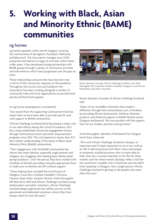### **5. Working with Black, Asian and Minority Ethnic (BAME) communities**

#### ng homes

ng homes operates within North Glasgow, covering the communities of Springburn, Possilpark, Parkhouse and Balornock. The Association manages circa 7,000 properties and delivers a range of activities within these wider areas. It has developed strong partnerships with BAME groups through a variety of community activities and interventions which have progressed over the past six years.

These relationships and activities have become vital in terms of the community response to the pandemic. Throughout the Covid crisis and lockdown the Association has been working alongside a number of community hubs and local organisations to provide food parcels and hot food supplies.

An ng homes spokesperson commented:

*"Our award from the Supporting Communities Fund has meant that we have been able to provide specific and vital support to BAME communities.*

*"African Challenge Scotland (ACS) has played a major role in our relief efforts during the Covid-19 lockdown. ACS has a long-established community engagement history through multicultural events and other empowerment programs since 2014. This rich experience means that ACS has a better understanding of the needs of Black Asian Minority Ethnic (BAME) communities.* 

*"Their engagement with the BAME communities has shown that many families, especially single parents and refugees, are struggling with meeting basic family needs during lockdown. Over the period, they have worked with hundreds of families providing culturally appropriate food to make sure no families are left without support.* 

*"Those helping have included the Lord Provost of Glasgow, Councillors Graham Campbell, Christina Cannon, Ruairi Kelly, Annette Christie, Anne McLaughlin MP, Bob Doris MSP and African Challenge Scotland young ambassadors and adult volunteers. African Challenge Scotland deeply appreciate the selfless services of the passionate and dedicated volunteers whom they have always relied on over the years."*



Ronier Deumeni, Founder, African Challenge Scotland, with Anne McLaughlin MP, Councillor Graham Campbell, Glasgow's Lord Provost Philip Braat, and other volunteers

Ronier Deumeni, Founder of African Challenge Scotland, said:

*"Many of our incredible volunteers have made a difference through their extraordinary acts of kindness by providing African food parcels, toiletries, feminine products, and financial support to BAME families across Glasgow and beyond. This was possible with the support from all our funders, partners and ng homes."*

Anne McLaughlin, Member of Parliament for Glasgow North East, observed:

*"The work African Challenge Scotland is doing is so important and it's been important to me in my work as an MP. In delivering food with them I have met people in extremely isolated positions who I've been able to help. One was a woman had been in her flat for three months with her three-month old baby. When I told her she could form a bubble with a friend she said she didn't know anybody in Glasgow. Not a single person. African Challenge Scotland is getting to the people who need them the most."*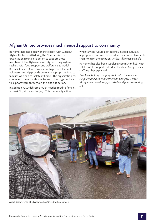### Afghan United provides much needed support to community

ng homes has also been working closely with Glasgow Afghan United (GAU) during the Covid crisis. The organisation sprang into action to support those members of the Afghan community, including asylum seekers, with food support and welfare calls. Abdul Bostani, Chair of GAU, quickly put together a team of volunteers to help provide culturally appropriate food to families who had to isolate at home. The organisation has continued to work with families and other organisations to support them throughout this difficult period.

In addition, GAU delivered much needed food to families to mark Eid, at the end of July. This is normally a time

when families would get together, instead culturally appropriate food was delivered to their homes to enable them to mark the occasion, whilst still remaining safe.

ng homes has also been supplying community hubs with halal food to support individual families. An ng homes staff member explained:

*"We have built up a supply chain with the relevant suppliers and also connected with Glasgow Central Mosque who previously provided food packages during Eid."*



Abdul Bostani, Chair of Glasgow Afghan United with volunteers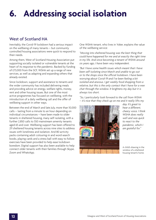# **6. Addressing social isolation**

#### West of Scotland HA

Inevitably, the Covid-19 lockdown had a serious impact on the wellbeing of many tenants – but community controlled housing associations were quick to respond to their needs.

Among them, West of Scotland Housing Association put supporting socially isolated or vulnerable tenants at the heart of its response to the pandemic. Backed by funding of £73,000 from the SCF, WSHA set up a range of new services, as well as adapting and expanding others that already existed.

Since lockdown, support and assistance to tenants and the wider community has included delivering meals and providing advice on energy, welfare rights, money, rent and other housing issues. But one of the most active programmes has focused on wellbeing, with the introduction of a daily wellbeing call and the offer of wellbeing support in other ways.

Between the end of March and late July, more than 10,000 calls – lasting from a minute to an hour depending on individual circumstances – have been made to older tenants in sheltered housing, many self-isolating, with a further 2,850 calls to 550 mainstream amenity tenants aged 65 and over. Wellbeing support has been offered to 211 sheltered housing tenants across nine sites to address issues with loneliness and isolation. And 80 activity packs containing adult colouring-in and word-search books, playing cards and a stress ball with easy to follow exercises have been provided to help ease lockdown boredom. Digital support has also been available to help connect older tenants with their families through Skype, Zoom and WhatsApp.

One WSHA tenant, who lives in Yoker, explains the value of the wellbeing service:

*"Moving into sheltered housing was the best thing that could have happened for me and at exactly the right time in my life. And since becoming a tenant of WSHA around six years ago, I have been very independent.*

*"But I have some health issues which meant that I have been self-isolating since March and unable to go out or to the shops since the official lockdown. I have been worrying about Covid-19 and I've been feeling a bit isolated and anxious. I get weekly food shopping from a relative, but this is the only contact that I have for a wee chat through the window. It brightens my day but it is always too short.*

*"So, I particularly look forward to the call from WSHA – it's nice that they check up on me and it really lifts my* 



*day. It's great to hear a different, cheery voice. I think WSHA does really well and was quick to react to the pandemic, which I am grateful for."* 

A child's drawing in the window of a sheltered housing tenant's home.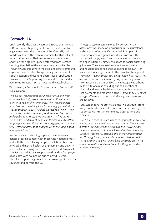#### Cernach HA

Until recently, the Chest, Heart and Stroke charity shop in Drumchapel Shopping Centre was a focal point for engagement with the community. But Covid-19, and lockdown, forced the team responsible for that valuable work to think again. Their response was immediate and wide-ranging: intelligence gathered from Cernach Housing Association (the anchor organisation for the Thriving Places initiative in the area) and other community organisations identified two priority groups at risk of social isolation and economic hardship; an application was made to the Supporting Communities Fund; and a new, remote support system was rapidly established.

Ted Scanlon, a Community Connector with Cernach HA, explains more:

*"We quickly realised that social isolation, along with economic hardship, would cause major difficulties for a lot of people in the community. The Thriving Places team has been providing face-to-face engagement at the charity shop since 2016. And it's worked really well – we were visible in the community and the shop had coffeemaking facilities, IT support and access to free Wi-Fi. We saw lots of different people in the community, often dropping in for a coffee at first but engaging with us over time. Unfortunately, that changed when the shop closed during lockdown."*

And with social distancing in place, there was a real danger of losing contact with those who needed it most, and with the issues facing people – isolation, strains on physical and mental health, unemployment and poverty – potentially becoming even more pronounced. As a result, families with additional support needs and self-employed people left with no income due to Covid-19 were identified as priority groups in a successful application for £40,000 funding from the SCF.

Through a system administered by Cernach HA, an assessment was made of individual family circumstances, with support of up to £500 provided. Examples of those who received grants included a woman with two autistic boys, aged 11 and nine, one of whom was finding it extremely difficult to adapt to social distancing guidelines. They were anxious about going outside and household bills had shot up during lockdown. Her response was a huge thanks to the team for the support they gave: *"I am in shock. You do not know how much this means to me and my family – you guys are a godsend."* After receiving a grant of £300, the message was echoed by the wife of a man shielding due to a number of physical and mental health conditions, with worries about rent payments and mounting debt: *"This money will make a huge difference to us – I can't thank you enough, you are amazing."*

Ted Scanlon says the stories are just two examples from many. But he stresses that a common theme among those supported was trust in community organisations and workers.

*"We believe that, in Drumchapel, most people know who we are, what we are all about and trust us. There is also a strong value base within Cernach, the Thriving Place team and partners, all of which benefits the community. Cernach Housing Association, the anchor organisation for Thriving Places, has clearly demonstrated its ability to look beyond its own tenant base, reaching out to the entire population of Drumchapel for the good of the whole community."*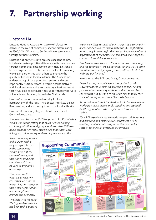# **7. Partnership working**

### Linstone HA

Linstone Housing Association were well placed to deliver in the role of community anchor, disseminating its £300,000 SCF award to 50 front-line organisations throughout Renfrewshire.

Linstone not only strives to provide excellent homes, but also to make a positive difference in its communities, through community engagement activities. Linstone is both recognised and trusted within the local community, working in partnership with others to improve the quality of life for all local residents. The Association's understanding of local priorities, services and most importantly its track record in working collaboratively with local residents and grass roots organisations meant that it was able to act quickly to support those who were vulnerable and isolated, through the Covid crisis.

Linstone's approach involved working in close partnership with the local Third Sector Interface, Engage Renfrewshire, and also linking in with the local authority.

Linstone's Community Regeneration Officer, Carol Gemmell, explained:

*"I would describe it as a 50/50 approach. So, 50% of what we did was about getting that much-needed funding out to organisations and groups; and the other 50% was about creating networks, making sure that [they] were linking up, collaborating, and learning from each other.*

*experience. They recognised our strength as a community anchor and encouraged us to make the SCF application. In turn, they have brought their robust knowledge of local organisations to the table. Our combined knowledge has created a formidable partnership.*

*"We have always seen it as 'tenants are the community, and the community are all potential tenants' so we serve the wider community anyway, and continued to do this with the SCF funding."*

In relation to the SCF specifically, Carol commented:

*"In such acute, unusual circumstances the Scottish Government set up such an accessible, speedy funding process with community anchors as the conduit. And it shows what can be done. It would be nice to think that some of the key lessons could be carried forward.*

*"A key outcome is that the third sector in Renfrewshire is working so much more closely together, and especially BAME organisations who maybe weren't as linked in before.*

*"Our SCF experience has created stronger collaborations and networks and raised overall awareness, of one another, of what's out there, in the third and public sectors, amongst all organisations involved."* 

*"As a community anchor, and a CCHA with a long pedigree, trusted in the community, we are sitting at the centre of things, and that allows us a clear overview which can be used to everyone's advantage.*

*"We also 'practise what we preach', we know that we can't do everything, and recognise that other organisations are better placed to provide some services.*

*"Working with the local TSI Engage Renfrewshire has been such a positive* 

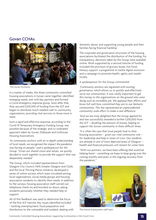#### Govan CCHAs



The Govan Orchestra

In a matter of weeks, the three community controlled housing associations in Govan came together, identified emerging needs, met with key partners and formed a Covid emergency response group. Soon after that, they secured £200,000 of funding from the SCF and began to distribute much-needed cash to community organisations, providing vital services to those most in need.

Such a rapid and effective response, according to the Covid-19 Temporary Emergency Funding Group, was possible because of the strategic and co-ordinated approach taken by Govan, Elderpark and Linthouse Housing Associations.

*"As community anchors with an in-depth understanding of local needs, we recognised the impact the pandemic was having on people," said a spokesperson for the Group. "Given our shared vision and values, we quickly decided to work together to provide the support that was desperately needed."* 

The Group, which included representation from Glasgow City Council, NHS Greater Glasgow and Clyde, and the local Thriving Places initiative, developed a series of online surveys which were circulated among local organisations, social media groups and housing association residents to identify their needs. In addition to the surveys, housing association staff carried out telephone check-ins and knocked on doors, asking residents personally whether they needed help or support.

All of this feedback was used to determine the focus of the first SCF tranche. Key issues identified included - tackling unemployment, food preparation and distribution to the vulnerable and isolated, dealing with domestic abuse, and supporting young people and their families facing financial hardship.

The corporate and governance structures of the housing associations facilitated the distribution of the funding. For transparency, decisions taken by the Group were available online. Work supported by a second tranche of funding included the provision of grocery boxes, hot food, literacy support, a programme to tackle digital exclusion and a campaign to promote health, agility and wealth locally.

A spokesperson for the Group commented:

*"Community anchors are regulated with existing governance, which allows us to quickly and effectively serve our communities. It was vitally important to get this money to the organisations on the ground who were doing such an incredible job. We applaud their efforts and know full well how committed they are to our fantastic communities. This has represented an unprecedented community-wide effort to make a real difference.*

*"And we are truly delighted that the Group applied for and was successfully awarded a further £200,000 from the SCF – doubling the amount of money, helping to support the Govan community in these difficult times.*

*"It is often the case that local people look to their housing association – given our vital community role – for leadership and help in times of crisis. Our residents are already in one of most deprived areas of Glasgow – health and financial pressures will remain for some time.*

*"With our partners, we have been offering that essential helping hand – something we hope to keep going over the coming months and years in the ongoing recovery from the pandemic."*



The Unlock Employment staff team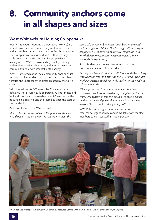### **8. Community anchors come in all shapes and sizes**

#### West Whitlawburn Housing Co-operative

West Whitlawburn Housing Co-operative (WWHC) is a tenant owned and controlled, fully mutual co-operative with charitable status in Whitlawburn, South Lanarkshire. The Co-operative was formed in 1989 through largescale voluntary transfer and has 644 properties in its management. WWHC provides high quality housing and services at affordable rents, and aims to promote community and environmental sustainability.

WWHC is viewed as the local community anchor by its tenants; and has worked hard to directly support them through the unprecedented times created by the Covid crisis.

With the help of its SCF award the Co-operative has delivered more than 1667 food parcels, 704 hot meals and 141 food vouchers to vulnerable tenant/members of the housing co-operative, and their families since the start of the pandemic.

Paul Farrell, director of WWHC, said:

*"It was clear from the outset of the pandemic that we would need to mount a massive response to meet the* 

*needs of our vulnerable tenant/members who would be isolating and shielding. Our housing staff, working in conjunction with our Community Development Team in Whitlawburn Community Resource Centre, have responded magnificently."*

Stuart Borland, centre manager at Whitlawburn Community Resource Centre, added:

*"It is a great team effort. Our staff, Claire and Myra, along with Michelle from the cafe and the UTD sports guys, are working tirelessly to deliver vital supplies to the needy at this time of crisis.*

*"The appreciation from tenant/members has been wonderful. We have received many compliments for our work. One tenant/member even said we must be mindreaders as the food parcel she received from us almost mirrored her normal weekly grocery list."*

WWHC is continuing to provide essential and emergency/urgent services and is available for tenants/ members to contact staff 24 hours per day.



Stuart Borland, Manager, Whitlawburn Community Resource Centre, with staff members Claire Forrest and Myra Maguire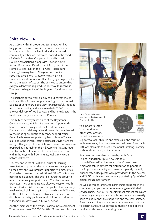#### Spire View HA

As a CCHA with 557 properties, Spire View HA has long proven its worth within the local community, both as a reliable social landlord and as a trusted community anchor. As lockdown loomed in the middle of March, Spire View, Copperworks and Blochairn Housing Associations, along with Royston Youth Action, Rosemount Development Trust, Help 4 the Homeless, The Hub on the Hill Café, Rosemount Lifelong Learning, North Glasgow Community Food Initiative, North Glasgow Healthy Living Community and Councillor Allan Casey, got together to formulate a plan of action. The aim was to ensure that every resident who required support would receive it. This was the beginning of the Royston Covid Response Group.

The partners got to work quickly to put together a coordinated list of those people requiring support, as well as a list of volunteers. Spire View HA successfully applied for Lottery funding, and were awarded £63,040, which allowed delivery of food parcels and hot meals across the local community for a period of 16 weeks.

This 'hub' of activity takes place at the Roystonhill Community Hub, which Spire View and Copperworks have kept open throughout the Covid outbreak. Preparation and delivery of food parcels is co-ordinated by the housing associations' tenancy support officer Geraldine Burgess, supported by her colleague Tracey Blair and Copperworks' estate caretaker David Manners, along with a group of incredible volunteers. Hot meals are prepared by The Hub on the Hill Café chef Pauline Frati, who had only just launched her new business venture within the Roystonhill Community Hub a few weeks before lockdown.

Glasgow and West of Scotland Forum of Housing Associations supported the group to make an application to the Scottish Government's Supporting Communities Fund, which resulted in an additional £48,605 of funding being made available. This award allowed the group to retain the tenancy support officer/Covid response coordinator. The SCF funding also allowed Royston Youth Action (RYA) to distribute over 250 packed lunches every week to local children, again in partnership with The Hub on the Hill Café. Furthermore, RYA also prepared and distributed activity packs to local children and elderly/ vulnerable residents over a 12-week period.

Another member of the group, Rosemount Development Trust, secured over £20,000 Scottish Government funding



Food for Good deliver supplies to the Roystonhill Community Hub

to support Royston Youth Action in other areas of work providing emergency Food For Good

support to local children and families in the form of mobile top-ups, food vouchers and wellbeing/care packs. RDT was also able to assist Rosemount Lifelong Learning with funds for family activity packs.

As a result of a funding partnership with Good Things Foundation, Spire View was able, through DevicesDotNow, to acquire 10 brand new electronic tablet devices for distribution to people in the Royston community who were completely digitally disconnected. Recipients were provided with the devices and 24 GB of data and are being supported by Spire View's digital engagement officer.

As well as this co-ordinated partnership response in the community, all partners continue to engage with their service users. The CCHAs' housing management teams are contacting elderly and vulnerable customers on a weekly basis to ensure they are supported and feel less isolated. Financial capability and money advice services continue to operate and are supporting all those in need of their services at this very challenging time.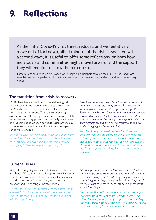### **9. Reflections**

As the initial Covid-19 virus threat reduces, and we tentatively move out of lockdown, albeit mindful of the risks associated with a second wave, it is useful to offer some reflections: on both how individuals and communities might move forward, and the support they will require to allow them to do so.

These reflections are based on GWSF's work supporting members through their SCF journey, and from associations' own experiences during the immediate crisis phase of the pandemic, and into the recovery period.

#### The transition from crisis to recovery

CCHAs have been at the forefront of delivering aid to their tenants and wider communities throughout the Covid crisis and as a result have a clear view of the picture on the ground. The consensus amongst associations is that moving from crisis to recovery will be a complex and tricky process, and probably not a linear one. As some people's specific needs lessen others may increase, and this will have an impact on what types of support are required.

*"It's not the case that we're going to get to a point when we say that's the crisis phase over now. Time to move onto recovery. Of course, that's the ultimate aim…but we're going to have to support people to get there."*

*"What we are seeing is people hitting crisis at different times. So, for instance, some people who have needed food deliveries are now able to get out and get their own. Some people who have been furloughed and needed help with food or fuel are back at work and don't need the assistance any more. But then you have people who have been furloughed, and have now lost their jobs and are really struggling, and now need help."*

*"As things have progressed, we have identified new problems that tenants are facing, and I think these are well-recognised. Domestic abuse, impacts on mental health, social isolation…people just feeling scared…a loss of confidence. And there's no quick fix for a lot of these problems…it's going to be long-haul solutions that are required."*

#### Current issues

Many of the ongoing issues are obviously reflected in members' SCF activities, and this support remains just as crucial for many individuals and families. This includes: providing help with food and fuel; mitigating social isolation; and supporting vulnerable people.

*"There is still a real need for help with the basics – food and fuel, in fact for some people it's more urgent now. They've lost their jobs, and really need this support to help them get through."*

*"It's so important…now more than ever in fact… that we try and keep people connected, and for our older tenants we've been doing a number of things. Ringing them every day, visiting, providing activity packs. All of it helps, and we know from their feedback that they really appreciate it, that it all helps."*

*"We are working with a range of our partners to support young people in the community. This has taken a real toll on them…especially young people who were feeling vulnerable before…so outreach work [and making sure this is carried out safely] is more important than ever."*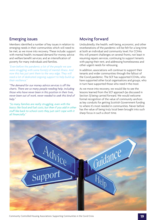#### Emerging issues

Members identified a number of key issues in relation to emerging needs in their communities which will need to be met, as we move into recovery. These include: support with mental health; increased demand for money advice and welfare benefit services; and an intensification of poverty for many individuals and families.

*"Even before the pandemic a lot of the people we saw were struggling with some form(s) of mental illness. And now this has just sent them to the very edge. They will need a lot of dedicated ongoing support to help build up their resilience."*

*"The demand for our money advice services is off the charts. There are so many people needing help, including those who have never been in this position in their lives, never been out of work, never needed to seek this kind of help."*

*"So many families are really struggling, even with the basics like food and fuel costs, but then if you add in other stuff like back-to-school costs they just can't cope with it all financially."*

#### Moving forward

Undoubtedly, the health, well-being, economic, and other reverberations of the pandemic will be felt for a long time at both an individual and community level. For CCHAs this will present challenges on several fronts, not least in resuming repairs services, continuing to support tenants with paying their rent, and addressing homelessness and other urgent needs for rehousing.

In addition, associations will continue to support their tenants and wider communities through the fallout of the Covid pandemic. The SCF has supported CCHAs, who have supported other local organisations and groups, who in turn have supported those who need it the most.

As we move into recovery, we would like to see the lessons learned from the SCF approach (as discussed in Section 3) being carried forward. We would welcome formal recognition of the value of community anchors as key conduits for getting Scottish Government funding to where it's most needed in communities. Never before has the value of being truly local been brought into such sharp focus in such a short time.